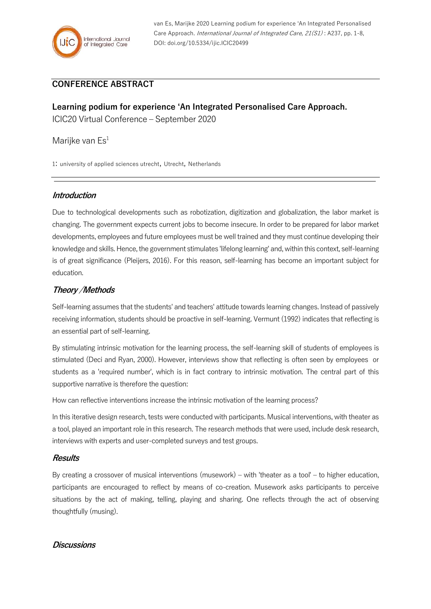

van Es, Marijke 2020 Learning podium for experience 'An Integrated Personalised Care Approach. International Journal of Integrated Care, 21(S1): A237, pp. 1-8, DOI: doi.org/10.5334/ijic.ICIC20499

# **CONFERENCE ABSTRACT**

# **Learning podium for experience 'An Integrated Personalised Care Approach.** ICIC20 Virtual Conference – September 2020

Marijke van  $\mathsf{Es}^1$ 

1: university of applied sciences utrecht, Utrecht, Netherlands

### **Introduction**

Due to technological developments such as robotization, digitization and globalization, the labor market is changing. The government expects current jobs to become insecure. In order to be prepared for labor market developments, employees and future employees must be well trained and they must continue developing their knowledge and skills. Hence, the government stimulates 'lifelong learning' and, within this context, self-learning is of great significance (Pleijers, 2016). For this reason, self-learning has become an important subject for education.

## **Theory /Methods**

Self-learning assumes that the students' and teachers' attitude towards learning changes. Instead of passively receiving information, students should be proactive in self-learning. Vermunt (1992) indicates that reflecting is an essential part of self-learning.

By stimulating intrinsic motivation for the learning process, the self-learning skill of students of employees is stimulated (Deci and Ryan, 2000). However, interviews show that reflecting is often seen by employees or students as a 'required number', which is in fact contrary to intrinsic motivation. The central part of this supportive narrative is therefore the question:

How can reflective interventions increase the intrinsic motivation of the learning process?

In this iterative design research, tests were conducted with participants. Musical interventions, with theater as a tool, played an important role in this research. The research methods that were used, include desk research, interviews with experts and user-completed surveys and test groups.

#### **Results**

By creating a crossover of musical interventions (musework) – with 'theater as a tool' – to higher education, participants are encouraged to reflect by means of co-creation. Musework asks participants to perceive situations by the act of making, telling, playing and sharing. One reflects through the act of observing thoughtfully (musing).

## **Discussions**